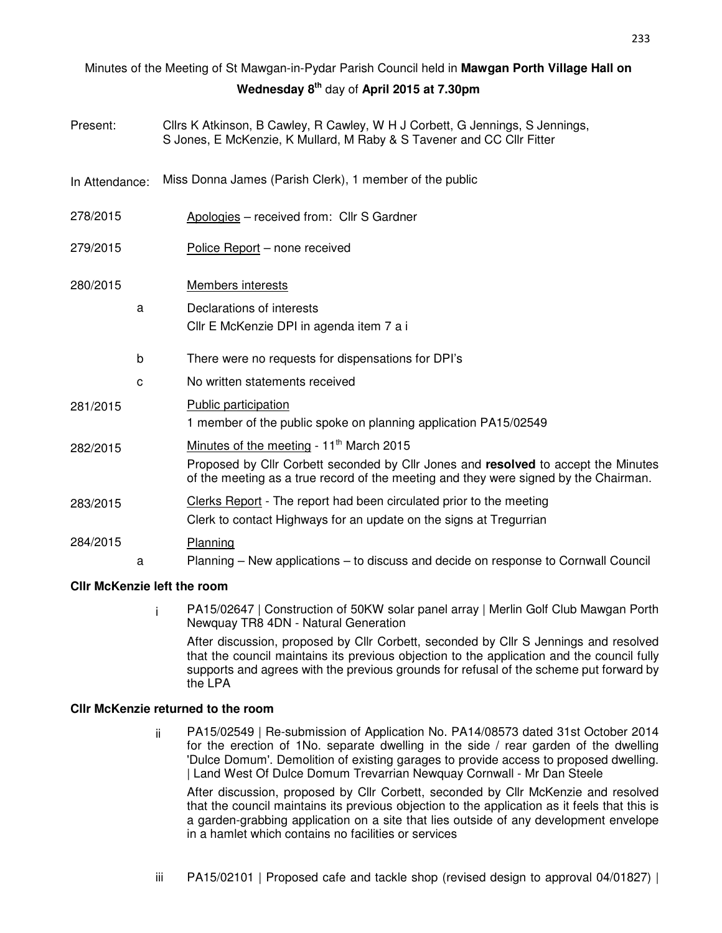# Minutes of the Meeting of St Mawgan-in-Pydar Parish Council held in **Mawgan Porth Village Hall on Wednesday 8th** day of **April 2015 at 7.30pm**

| Present:       |   | Cllrs K Atkinson, B Cawley, R Cawley, W H J Corbett, G Jennings, S Jennings,<br>S Jones, E McKenzie, K Mullard, M Raby & S Tavener and CC Cllr Fitter                      |  |  |  |  |  |
|----------------|---|----------------------------------------------------------------------------------------------------------------------------------------------------------------------------|--|--|--|--|--|
| In Attendance: |   | Miss Donna James (Parish Clerk), 1 member of the public                                                                                                                    |  |  |  |  |  |
| 278/2015       |   | Apologies - received from: Cllr S Gardner                                                                                                                                  |  |  |  |  |  |
| 279/2015       |   | Police Report - none received                                                                                                                                              |  |  |  |  |  |
| 280/2015       |   | Members interests                                                                                                                                                          |  |  |  |  |  |
|                | a | Declarations of interests                                                                                                                                                  |  |  |  |  |  |
|                |   | Cllr E McKenzie DPI in agenda item 7 a i                                                                                                                                   |  |  |  |  |  |
|                | b | There were no requests for dispensations for DPI's                                                                                                                         |  |  |  |  |  |
|                | с | No written statements received                                                                                                                                             |  |  |  |  |  |
| 281/2015       |   | Public participation                                                                                                                                                       |  |  |  |  |  |
|                |   | 1 member of the public spoke on planning application PA15/02549                                                                                                            |  |  |  |  |  |
| 282/2015       |   | Minutes of the meeting - 11 <sup>th</sup> March 2015                                                                                                                       |  |  |  |  |  |
|                |   | Proposed by Cllr Corbett seconded by Cllr Jones and resolved to accept the Minutes<br>of the meeting as a true record of the meeting and they were signed by the Chairman. |  |  |  |  |  |
| 283/2015       |   | Clerks Report - The report had been circulated prior to the meeting                                                                                                        |  |  |  |  |  |
|                |   | Clerk to contact Highways for an update on the signs at Tregurrian                                                                                                         |  |  |  |  |  |
| 284/2015       |   | Planning                                                                                                                                                                   |  |  |  |  |  |
|                | a | Planning - New applications - to discuss and decide on response to Cornwall Council                                                                                        |  |  |  |  |  |
|                |   |                                                                                                                                                                            |  |  |  |  |  |

## **Cllr McKenzie left the room**

i PA15/02647 | Construction of 50KW solar panel array | Merlin Golf Club Mawgan Porth Newquay TR8 4DN - Natural Generation

After discussion, proposed by Cllr Corbett, seconded by Cllr S Jennings and resolved that the council maintains its previous objection to the application and the council fully supports and agrees with the previous grounds for refusal of the scheme put forward by the LPA

#### **Cllr McKenzie returned to the room**

ii PA15/02549 | Re-submission of Application No. PA14/08573 dated 31st October 2014 for the erection of 1No. separate dwelling in the side / rear garden of the dwelling 'Dulce Domum'. Demolition of existing garages to provide access to proposed dwelling. | Land West Of Dulce Domum Trevarrian Newquay Cornwall - Mr Dan Steele

After discussion, proposed by Cllr Corbett, seconded by Cllr McKenzie and resolved that the council maintains its previous objection to the application as it feels that this is a garden-grabbing application on a site that lies outside of any development envelope in a hamlet which contains no facilities or services

iii PA15/02101 | Proposed cafe and tackle shop (revised design to approval 04/01827) |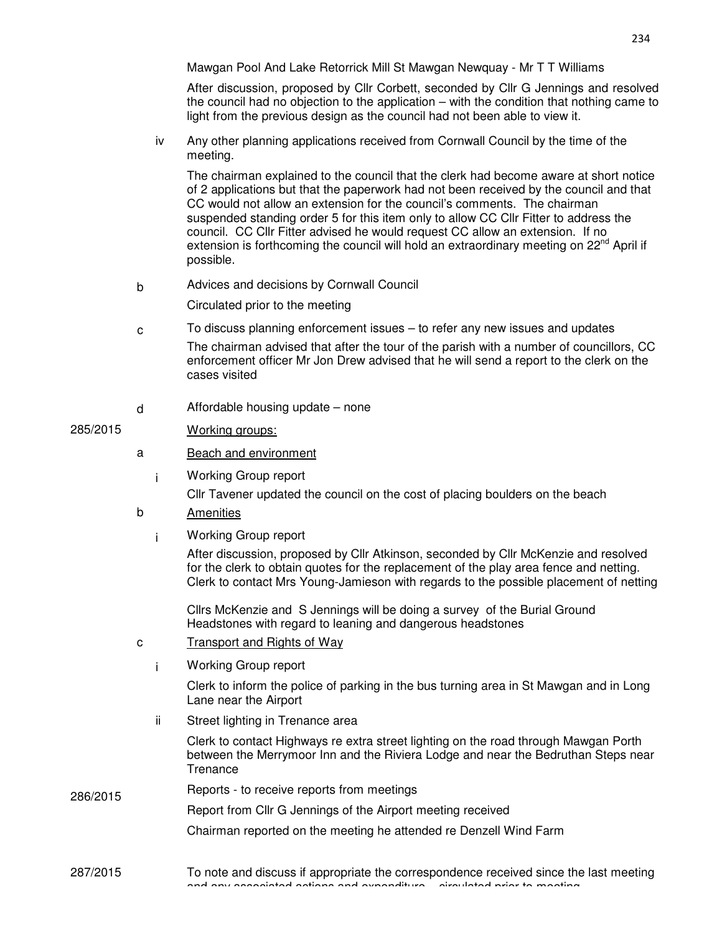Mawgan Pool And Lake Retorrick Mill St Mawgan Newquay - Mr T T Williams

After discussion, proposed by Cllr Corbett, seconded by Cllr G Jennings and resolved the council had no objection to the application – with the condition that nothing came to light from the previous design as the council had not been able to view it.

iv Any other planning applications received from Cornwall Council by the time of the meeting.

The chairman explained to the council that the clerk had become aware at short notice of 2 applications but that the paperwork had not been received by the council and that CC would not allow an extension for the council's comments. The chairman suspended standing order 5 for this item only to allow CC Cllr Fitter to address the council. CC Cllr Fitter advised he would request CC allow an extension. If no extension is forthcoming the council will hold an extraordinary meeting on 22<sup>nd</sup> April if possible.

b Advices and decisions by Cornwall Council

Circulated prior to the meeting

- c To discuss planning enforcement issues to refer any new issues and updates The chairman advised that after the tour of the parish with a number of councillors, CC enforcement officer Mr Jon Drew advised that he will send a report to the clerk on the cases visited
- d Affordable housing update none

### 285/2015 Working groups:

- a Beach and environment
	- i Working Group report

Cllr Tavener updated the council on the cost of placing boulders on the beach

- b Amenities
	- i Working Group report

After discussion, proposed by Cllr Atkinson, seconded by Cllr McKenzie and resolved for the clerk to obtain quotes for the replacement of the play area fence and netting. Clerk to contact Mrs Young-Jamieson with regards to the possible placement of netting

Cllrs McKenzie and S Jennings will be doing a survey of the Burial Ground Headstones with regard to leaning and dangerous headstones

- c Transport and Rights of Way
	- i Working Group report

Clerk to inform the police of parking in the bus turning area in St Mawgan and in Long Lane near the Airport

ii Street lighting in Trenance area

Clerk to contact Highways re extra street lighting on the road through Mawgan Porth between the Merrymoor Inn and the Riviera Lodge and near the Bedruthan Steps near **Trenance** 

# 286/2015 Reports - to receive reports from meetings

Report from Cllr G Jennings of the Airport meeting received

Chairman reported on the meeting he attended re Denzell Wind Farm

#### 287/2015 To note and discuss if appropriate the correspondence received since the last meeting and any associated actions and expenditure – circulated prior to meeting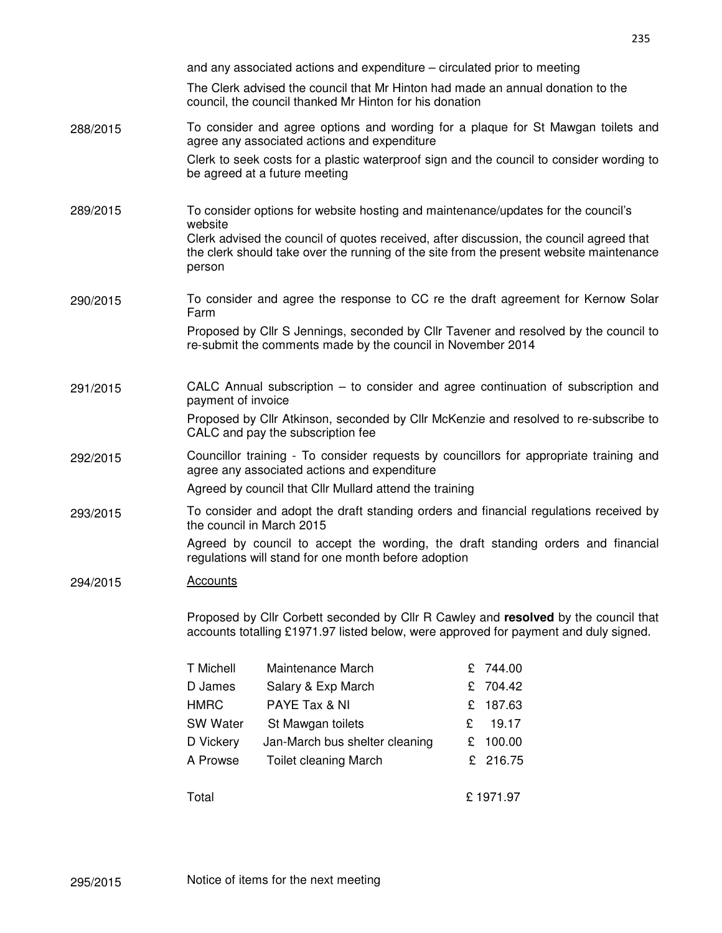|          | and any associated actions and expenditure – circulated prior to meeting                                                                                                                          |                                |   |          |  |  |
|----------|---------------------------------------------------------------------------------------------------------------------------------------------------------------------------------------------------|--------------------------------|---|----------|--|--|
|          | The Clerk advised the council that Mr Hinton had made an annual donation to the<br>council, the council thanked Mr Hinton for his donation                                                        |                                |   |          |  |  |
| 288/2015 | To consider and agree options and wording for a plaque for St Mawgan toilets and<br>agree any associated actions and expenditure                                                                  |                                |   |          |  |  |
|          | Clerk to seek costs for a plastic waterproof sign and the council to consider wording to<br>be agreed at a future meeting                                                                         |                                |   |          |  |  |
| 289/2015 | To consider options for website hosting and maintenance/updates for the council's<br>website                                                                                                      |                                |   |          |  |  |
|          | Clerk advised the council of quotes received, after discussion, the council agreed that<br>the clerk should take over the running of the site from the present website maintenance<br>person      |                                |   |          |  |  |
| 290/2015 | To consider and agree the response to CC re the draft agreement for Kernow Solar<br>Farm                                                                                                          |                                |   |          |  |  |
|          | Proposed by Cllr S Jennings, seconded by Cllr Tavener and resolved by the council to<br>re-submit the comments made by the council in November 2014                                               |                                |   |          |  |  |
| 291/2015 | CALC Annual subscription – to consider and agree continuation of subscription and<br>payment of invoice                                                                                           |                                |   |          |  |  |
|          | Proposed by Cllr Atkinson, seconded by Cllr McKenzie and resolved to re-subscribe to<br>CALC and pay the subscription fee                                                                         |                                |   |          |  |  |
| 292/2015 | Councillor training - To consider requests by councillors for appropriate training and<br>agree any associated actions and expenditure<br>Agreed by council that Cllr Mullard attend the training |                                |   |          |  |  |
| 293/2015 | To consider and adopt the draft standing orders and financial regulations received by<br>the council in March 2015                                                                                |                                |   |          |  |  |
|          | Agreed by council to accept the wording, the draft standing orders and financial<br>regulations will stand for one month before adoption                                                          |                                |   |          |  |  |
| 294/2015 | <b>Accounts</b>                                                                                                                                                                                   |                                |   |          |  |  |
|          | Proposed by Cllr Corbett seconded by Cllr R Cawley and resolved by the council that<br>accounts totalling £1971.97 listed below, were approved for payment and duly signed.                       |                                |   |          |  |  |
|          | T Michell                                                                                                                                                                                         | Maintenance March              | £ | 744.00   |  |  |
|          | D James                                                                                                                                                                                           | Salary & Exp March             | £ | 704.42   |  |  |
|          | <b>HMRC</b>                                                                                                                                                                                       | PAYE Tax & NI                  | £ | 187.63   |  |  |
|          | <b>SW Water</b>                                                                                                                                                                                   | St Mawgan toilets              | £ | 19.17    |  |  |
|          | D Vickery                                                                                                                                                                                         | Jan-March bus shelter cleaning | £ | 100.00   |  |  |
|          | A Prowse                                                                                                                                                                                          | <b>Toilet cleaning March</b>   | £ | 216.75   |  |  |
|          | Total                                                                                                                                                                                             |                                |   | £1971.97 |  |  |